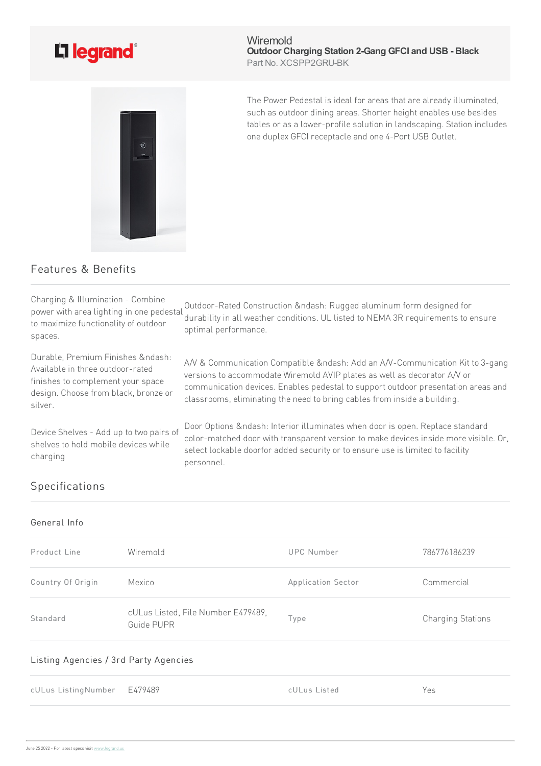

Wiremold **Outdoor Charging Station 2-Gang GFCI and USB - Black** Part No. XCSPP2GRU-BK



The Power Pedestal is ideal for areas that are already illuminated, such as outdoor dining areas. Shorter height enables use besides tables or as a lower-profile solution in landscaping. Station includes one duplex GFCI receptacle and one 4-Port USB Outlet.

## Features & Benefits

Charging & Illumination- Combine power with area lighting in one pedestal to maximize functionality of outdoor spaces. Outdoor-Rated Construction &ndash: Rugged aluminum form designed for durability in all weather conditions. UL listed to NEMA 3R requirements to ensure optimal performance. Durable, Premium Finishes &ndash: Available in three outdoor-rated finishes to complement your space design. Choose from black, bronze or silver. A/V & Communication Compatible &ndash: Add an A/V-Communication Kit to 3-gang versions to accommodate Wiremold AVIP plates as well as decorator A/V or communication devices. Enables pedestal to support outdoor presentation areas and classrooms, eliminating the need to bring cables from inside a building. Device Shelves - Add up to two pairs of shelves to hold mobile devices while charging Door Options &ndash: Interior illuminates when door is open. Replace standard color-matched door with transparent version to make devices inside more visible. Or, select lockable doorfor added security or to ensure use is limited to facility personnel.

## Specifications

## General Info

| Product Line                          | Wiremold                                         | <b>UPC Number</b>  | 786776186239             |
|---------------------------------------|--------------------------------------------------|--------------------|--------------------------|
| Country Of Origin                     | Mexico                                           | Application Sector | Commercial               |
| Standard                              | cULus Listed, File Number E479489,<br>Guide PUPR | lype               | <b>Charging Stations</b> |
| Listing Agencies / 3rd Party Agencies |                                                  |                    |                          |

cULus ListingNumber E479489 cULus Listed Yes